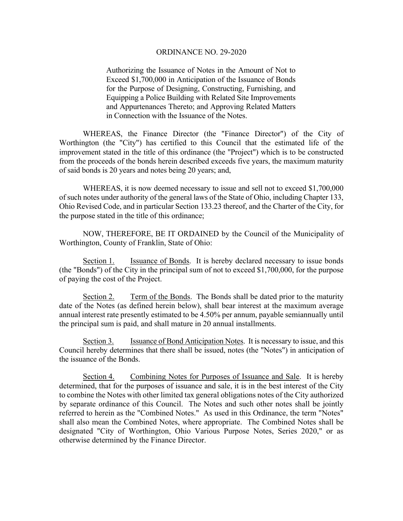Authorizing the Issuance of Notes in the Amount of Not to Exceed \$1,700,000 in Anticipation of the Issuance of Bonds for the Purpose of Designing, Constructing, Furnishing, and Equipping a Police Building with Related Site Improvements and Appurtenances Thereto; and Approving Related Matters in Connection with the Issuance of the Notes.

 WHEREAS, the Finance Director (the "Finance Director") of the City of Worthington (the "City") has certified to this Council that the estimated life of the improvement stated in the title of this ordinance (the "Project") which is to be constructed from the proceeds of the bonds herein described exceeds five years, the maximum maturity of said bonds is 20 years and notes being 20 years; and,

 WHEREAS, it is now deemed necessary to issue and sell not to exceed \$1,700,000 of such notes under authority of the general laws of the State of Ohio, including Chapter 133, Ohio Revised Code, and in particular Section 133.23 thereof, and the Charter of the City, for the purpose stated in the title of this ordinance;

 NOW, THEREFORE, BE IT ORDAINED by the Council of the Municipality of Worthington, County of Franklin, State of Ohio:

Section 1. Issuance of Bonds. It is hereby declared necessary to issue bonds (the "Bonds") of the City in the principal sum of not to exceed \$1,700,000, for the purpose of paying the cost of the Project.

Section 2. Term of the Bonds. The Bonds shall be dated prior to the maturity date of the Notes (as defined herein below), shall bear interest at the maximum average annual interest rate presently estimated to be 4.50% per annum, payable semiannually until the principal sum is paid, and shall mature in 20 annual installments.

Section 3. Issuance of Bond Anticipation Notes. It is necessary to issue, and this Council hereby determines that there shall be issued, notes (the "Notes") in anticipation of the issuance of the Bonds.

Section 4. Combining Notes for Purposes of Issuance and Sale. It is hereby determined, that for the purposes of issuance and sale, it is in the best interest of the City to combine the Notes with other limited tax general obligations notes of the City authorized by separate ordinance of this Council. The Notes and such other notes shall be jointly referred to herein as the "Combined Notes." As used in this Ordinance, the term "Notes" shall also mean the Combined Notes, where appropriate. The Combined Notes shall be designated "City of Worthington, Ohio Various Purpose Notes, Series 2020," or as otherwise determined by the Finance Director.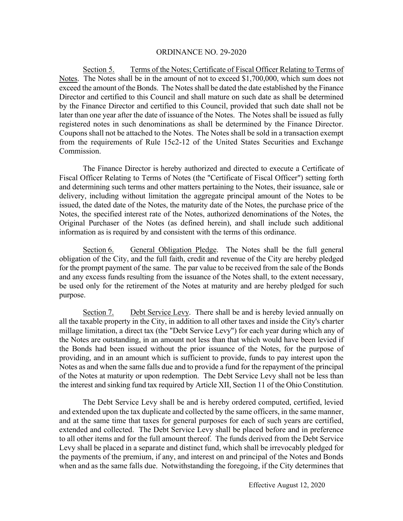Section 5. Terms of the Notes; Certificate of Fiscal Officer Relating to Terms of Notes. The Notes shall be in the amount of not to exceed \$1,700,000, which sum does not exceed the amount of the Bonds. The Notes shall be dated the date established by the Finance Director and certified to this Council and shall mature on such date as shall be determined by the Finance Director and certified to this Council, provided that such date shall not be later than one year after the date of issuance of the Notes. The Notes shall be issued as fully registered notes in such denominations as shall be determined by the Finance Director. Coupons shall not be attached to the Notes. The Notes shall be sold in a transaction exempt from the requirements of Rule 15c2-12 of the United States Securities and Exchange Commission.

 The Finance Director is hereby authorized and directed to execute a Certificate of Fiscal Officer Relating to Terms of Notes (the "Certificate of Fiscal Officer") setting forth and determining such terms and other matters pertaining to the Notes, their issuance, sale or delivery, including without limitation the aggregate principal amount of the Notes to be issued, the dated date of the Notes, the maturity date of the Notes, the purchase price of the Notes, the specified interest rate of the Notes, authorized denominations of the Notes, the Original Purchaser of the Notes (as defined herein), and shall include such additional information as is required by and consistent with the terms of this ordinance.

Section 6. General Obligation Pledge. The Notes shall be the full general obligation of the City, and the full faith, credit and revenue of the City are hereby pledged for the prompt payment of the same. The par value to be received from the sale of the Bonds and any excess funds resulting from the issuance of the Notes shall, to the extent necessary, be used only for the retirement of the Notes at maturity and are hereby pledged for such purpose.

Section 7. Debt Service Levy. There shall be and is hereby levied annually on all the taxable property in the City, in addition to all other taxes and inside the City's charter millage limitation, a direct tax (the "Debt Service Levy") for each year during which any of the Notes are outstanding, in an amount not less than that which would have been levied if the Bonds had been issued without the prior issuance of the Notes, for the purpose of providing, and in an amount which is sufficient to provide, funds to pay interest upon the Notes as and when the same falls due and to provide a fund for the repayment of the principal of the Notes at maturity or upon redemption. The Debt Service Levy shall not be less than the interest and sinking fund tax required by Article XII, Section 11 of the Ohio Constitution.

The Debt Service Levy shall be and is hereby ordered computed, certified, levied and extended upon the tax duplicate and collected by the same officers, in the same manner, and at the same time that taxes for general purposes for each of such years are certified, extended and collected. The Debt Service Levy shall be placed before and in preference to all other items and for the full amount thereof. The funds derived from the Debt Service Levy shall be placed in a separate and distinct fund, which shall be irrevocably pledged for the payments of the premium, if any, and interest on and principal of the Notes and Bonds when and as the same falls due. Notwithstanding the foregoing, if the City determines that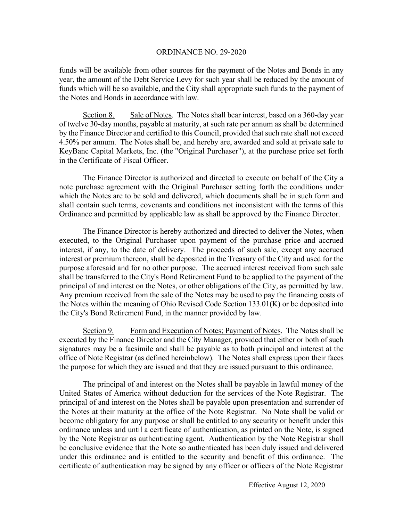funds will be available from other sources for the payment of the Notes and Bonds in any year, the amount of the Debt Service Levy for such year shall be reduced by the amount of funds which will be so available, and the City shall appropriate such funds to the payment of the Notes and Bonds in accordance with law.

Section 8. Sale of Notes. The Notes shall bear interest, based on a 360-day year of twelve 30-day months, payable at maturity, at such rate per annum as shall be determined by the Finance Director and certified to this Council, provided that such rate shall not exceed 4.50% per annum. The Notes shall be, and hereby are, awarded and sold at private sale to KeyBanc Capital Markets, Inc. (the "Original Purchaser"), at the purchase price set forth in the Certificate of Fiscal Officer.

The Finance Director is authorized and directed to execute on behalf of the City a note purchase agreement with the Original Purchaser setting forth the conditions under which the Notes are to be sold and delivered, which documents shall be in such form and shall contain such terms, covenants and conditions not inconsistent with the terms of this Ordinance and permitted by applicable law as shall be approved by the Finance Director.

The Finance Director is hereby authorized and directed to deliver the Notes, when executed, to the Original Purchaser upon payment of the purchase price and accrued interest, if any, to the date of delivery. The proceeds of such sale, except any accrued interest or premium thereon, shall be deposited in the Treasury of the City and used for the purpose aforesaid and for no other purpose. The accrued interest received from such sale shall be transferred to the City's Bond Retirement Fund to be applied to the payment of the principal of and interest on the Notes, or other obligations of the City, as permitted by law. Any premium received from the sale of the Notes may be used to pay the financing costs of the Notes within the meaning of Ohio Revised Code Section 133.01(K) or be deposited into the City's Bond Retirement Fund, in the manner provided by law.

Section 9. Form and Execution of Notes; Payment of Notes. The Notes shall be executed by the Finance Director and the City Manager, provided that either or both of such signatures may be a facsimile and shall be payable as to both principal and interest at the office of Note Registrar (as defined hereinbelow). The Notes shall express upon their faces the purpose for which they are issued and that they are issued pursuant to this ordinance.

 The principal of and interest on the Notes shall be payable in lawful money of the United States of America without deduction for the services of the Note Registrar. The principal of and interest on the Notes shall be payable upon presentation and surrender of the Notes at their maturity at the office of the Note Registrar. No Note shall be valid or become obligatory for any purpose or shall be entitled to any security or benefit under this ordinance unless and until a certificate of authentication, as printed on the Note, is signed by the Note Registrar as authenticating agent. Authentication by the Note Registrar shall be conclusive evidence that the Note so authenticated has been duly issued and delivered under this ordinance and is entitled to the security and benefit of this ordinance. The certificate of authentication may be signed by any officer or officers of the Note Registrar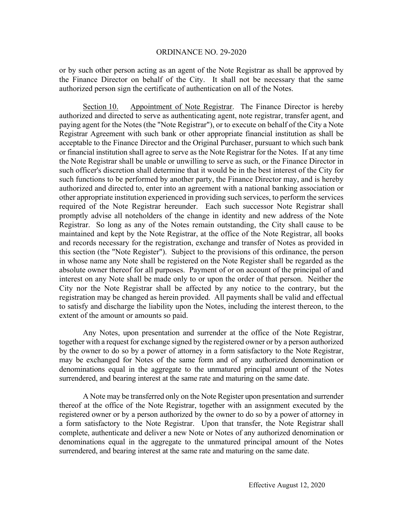or by such other person acting as an agent of the Note Registrar as shall be approved by the Finance Director on behalf of the City. It shall not be necessary that the same authorized person sign the certificate of authentication on all of the Notes.

Section 10. Appointment of Note Registrar. The Finance Director is hereby authorized and directed to serve as authenticating agent, note registrar, transfer agent, and paying agent for the Notes (the "Note Registrar"), or to execute on behalf of the City a Note Registrar Agreement with such bank or other appropriate financial institution as shall be acceptable to the Finance Director and the Original Purchaser, pursuant to which such bank or financial institution shall agree to serve as the Note Registrar for the Notes. If at any time the Note Registrar shall be unable or unwilling to serve as such, or the Finance Director in such officer's discretion shall determine that it would be in the best interest of the City for such functions to be performed by another party, the Finance Director may, and is hereby authorized and directed to, enter into an agreement with a national banking association or other appropriate institution experienced in providing such services, to perform the services required of the Note Registrar hereunder. Each such successor Note Registrar shall promptly advise all noteholders of the change in identity and new address of the Note Registrar. So long as any of the Notes remain outstanding, the City shall cause to be maintained and kept by the Note Registrar, at the office of the Note Registrar, all books and records necessary for the registration, exchange and transfer of Notes as provided in this section (the "Note Register"). Subject to the provisions of this ordinance, the person in whose name any Note shall be registered on the Note Register shall be regarded as the absolute owner thereof for all purposes. Payment of or on account of the principal of and interest on any Note shall be made only to or upon the order of that person. Neither the City nor the Note Registrar shall be affected by any notice to the contrary, but the registration may be changed as herein provided. All payments shall be valid and effectual to satisfy and discharge the liability upon the Notes, including the interest thereon, to the extent of the amount or amounts so paid.

Any Notes, upon presentation and surrender at the office of the Note Registrar, together with a request for exchange signed by the registered owner or by a person authorized by the owner to do so by a power of attorney in a form satisfactory to the Note Registrar, may be exchanged for Notes of the same form and of any authorized denomination or denominations equal in the aggregate to the unmatured principal amount of the Notes surrendered, and bearing interest at the same rate and maturing on the same date.

A Note may be transferred only on the Note Register upon presentation and surrender thereof at the office of the Note Registrar, together with an assignment executed by the registered owner or by a person authorized by the owner to do so by a power of attorney in a form satisfactory to the Note Registrar. Upon that transfer, the Note Registrar shall complete, authenticate and deliver a new Note or Notes of any authorized denomination or denominations equal in the aggregate to the unmatured principal amount of the Notes surrendered, and bearing interest at the same rate and maturing on the same date.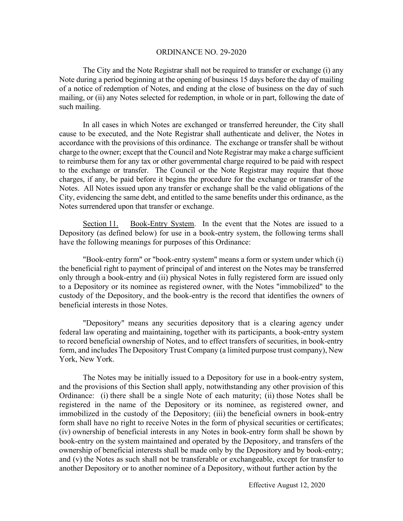The City and the Note Registrar shall not be required to transfer or exchange (i) any Note during a period beginning at the opening of business 15 days before the day of mailing of a notice of redemption of Notes, and ending at the close of business on the day of such mailing, or (ii) any Notes selected for redemption, in whole or in part, following the date of such mailing.

In all cases in which Notes are exchanged or transferred hereunder, the City shall cause to be executed, and the Note Registrar shall authenticate and deliver, the Notes in accordance with the provisions of this ordinance. The exchange or transfer shall be without charge to the owner; except that the Council and Note Registrar may make a charge sufficient to reimburse them for any tax or other governmental charge required to be paid with respect to the exchange or transfer. The Council or the Note Registrar may require that those charges, if any, be paid before it begins the procedure for the exchange or transfer of the Notes. All Notes issued upon any transfer or exchange shall be the valid obligations of the City, evidencing the same debt, and entitled to the same benefits under this ordinance, as the Notes surrendered upon that transfer or exchange.

Section 11. Book-Entry System. In the event that the Notes are issued to a Depository (as defined below) for use in a book-entry system, the following terms shall have the following meanings for purposes of this Ordinance:

"Book-entry form" or "book-entry system" means a form or system under which (i) the beneficial right to payment of principal of and interest on the Notes may be transferred only through a book-entry and (ii) physical Notes in fully registered form are issued only to a Depository or its nominee as registered owner, with the Notes "immobilized" to the custody of the Depository, and the book-entry is the record that identifies the owners of beneficial interests in those Notes.

"Depository" means any securities depository that is a clearing agency under federal law operating and maintaining, together with its participants, a book-entry system to record beneficial ownership of Notes, and to effect transfers of securities, in book-entry form, and includes The Depository Trust Company (a limited purpose trust company), New York, New York.

The Notes may be initially issued to a Depository for use in a book-entry system, and the provisions of this Section shall apply, notwithstanding any other provision of this Ordinance: (i) there shall be a single Note of each maturity; (ii) those Notes shall be registered in the name of the Depository or its nominee, as registered owner, and immobilized in the custody of the Depository; (iii) the beneficial owners in book-entry form shall have no right to receive Notes in the form of physical securities or certificates; (iv) ownership of beneficial interests in any Notes in book-entry form shall be shown by book-entry on the system maintained and operated by the Depository, and transfers of the ownership of beneficial interests shall be made only by the Depository and by book-entry; and (v) the Notes as such shall not be transferable or exchangeable, except for transfer to another Depository or to another nominee of a Depository, without further action by the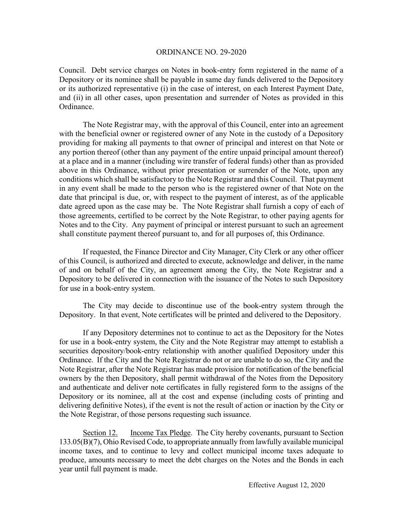Council. Debt service charges on Notes in book-entry form registered in the name of a Depository or its nominee shall be payable in same day funds delivered to the Depository or its authorized representative (i) in the case of interest, on each Interest Payment Date, and (ii) in all other cases, upon presentation and surrender of Notes as provided in this Ordinance.

The Note Registrar may, with the approval of this Council, enter into an agreement with the beneficial owner or registered owner of any Note in the custody of a Depository providing for making all payments to that owner of principal and interest on that Note or any portion thereof (other than any payment of the entire unpaid principal amount thereof) at a place and in a manner (including wire transfer of federal funds) other than as provided above in this Ordinance, without prior presentation or surrender of the Note, upon any conditions which shall be satisfactory to the Note Registrar and this Council. That payment in any event shall be made to the person who is the registered owner of that Note on the date that principal is due, or, with respect to the payment of interest, as of the applicable date agreed upon as the case may be. The Note Registrar shall furnish a copy of each of those agreements, certified to be correct by the Note Registrar, to other paying agents for Notes and to the City. Any payment of principal or interest pursuant to such an agreement shall constitute payment thereof pursuant to, and for all purposes of, this Ordinance.

If requested, the Finance Director and City Manager, City Clerk or any other officer of this Council, is authorized and directed to execute, acknowledge and deliver, in the name of and on behalf of the City, an agreement among the City, the Note Registrar and a Depository to be delivered in connection with the issuance of the Notes to such Depository for use in a book-entry system.

 The City may decide to discontinue use of the book-entry system through the Depository. In that event, Note certificates will be printed and delivered to the Depository.

If any Depository determines not to continue to act as the Depository for the Notes for use in a book-entry system, the City and the Note Registrar may attempt to establish a securities depository/book-entry relationship with another qualified Depository under this Ordinance. If the City and the Note Registrar do not or are unable to do so, the City and the Note Registrar, after the Note Registrar has made provision for notification of the beneficial owners by the then Depository, shall permit withdrawal of the Notes from the Depository and authenticate and deliver note certificates in fully registered form to the assigns of the Depository or its nominee, all at the cost and expense (including costs of printing and delivering definitive Notes), if the event is not the result of action or inaction by the City or the Note Registrar, of those persons requesting such issuance.

Section 12. Income Tax Pledge. The City hereby covenants, pursuant to Section 133.05(B)(7), Ohio Revised Code, to appropriate annually from lawfully available municipal income taxes, and to continue to levy and collect municipal income taxes adequate to produce, amounts necessary to meet the debt charges on the Notes and the Bonds in each year until full payment is made.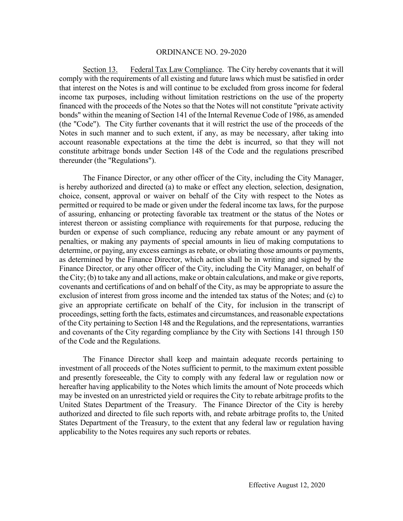Section 13. Federal Tax Law Compliance. The City hereby covenants that it will comply with the requirements of all existing and future laws which must be satisfied in order that interest on the Notes is and will continue to be excluded from gross income for federal income tax purposes, including without limitation restrictions on the use of the property financed with the proceeds of the Notes so that the Notes will not constitute "private activity bonds" within the meaning of Section 141 of the Internal Revenue Code of 1986, as amended (the "Code"). The City further covenants that it will restrict the use of the proceeds of the Notes in such manner and to such extent, if any, as may be necessary, after taking into account reasonable expectations at the time the debt is incurred, so that they will not constitute arbitrage bonds under Section 148 of the Code and the regulations prescribed thereunder (the "Regulations").

 The Finance Director, or any other officer of the City, including the City Manager, is hereby authorized and directed (a) to make or effect any election, selection, designation, choice, consent, approval or waiver on behalf of the City with respect to the Notes as permitted or required to be made or given under the federal income tax laws, for the purpose of assuring, enhancing or protecting favorable tax treatment or the status of the Notes or interest thereon or assisting compliance with requirements for that purpose, reducing the burden or expense of such compliance, reducing any rebate amount or any payment of penalties, or making any payments of special amounts in lieu of making computations to determine, or paying, any excess earnings as rebate, or obviating those amounts or payments, as determined by the Finance Director, which action shall be in writing and signed by the Finance Director, or any other officer of the City, including the City Manager, on behalf of the City; (b) to take any and all actions, make or obtain calculations, and make or give reports, covenants and certifications of and on behalf of the City, as may be appropriate to assure the exclusion of interest from gross income and the intended tax status of the Notes; and (c) to give an appropriate certificate on behalf of the City, for inclusion in the transcript of proceedings, setting forth the facts, estimates and circumstances, and reasonable expectations of the City pertaining to Section 148 and the Regulations, and the representations, warranties and covenants of the City regarding compliance by the City with Sections 141 through 150 of the Code and the Regulations.

 The Finance Director shall keep and maintain adequate records pertaining to investment of all proceeds of the Notes sufficient to permit, to the maximum extent possible and presently foreseeable, the City to comply with any federal law or regulation now or hereafter having applicability to the Notes which limits the amount of Note proceeds which may be invested on an unrestricted yield or requires the City to rebate arbitrage profits to the United States Department of the Treasury. The Finance Director of the City is hereby authorized and directed to file such reports with, and rebate arbitrage profits to, the United States Department of the Treasury, to the extent that any federal law or regulation having applicability to the Notes requires any such reports or rebates.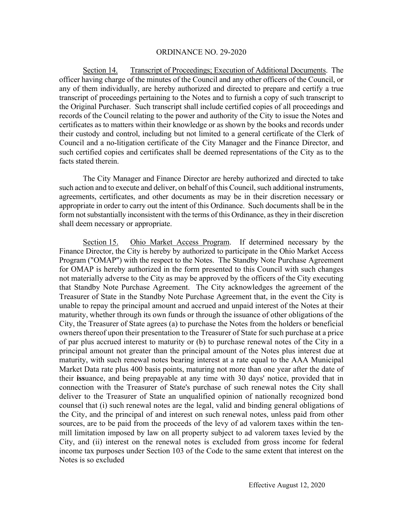Section 14. Transcript of Proceedings; Execution of Additional Documents. The officer having charge of the minutes of the Council and any other officers of the Council, or any of them individually, are hereby authorized and directed to prepare and certify a true transcript of proceedings pertaining to the Notes and to furnish a copy of such transcript to the Original Purchaser. Such transcript shall include certified copies of all proceedings and records of the Council relating to the power and authority of the City to issue the Notes and certificates as to matters within their knowledge or as shown by the books and records under their custody and control, including but not limited to a general certificate of the Clerk of Council and a no-litigation certificate of the City Manager and the Finance Director, and such certified copies and certificates shall be deemed representations of the City as to the facts stated therein.

The City Manager and Finance Director are hereby authorized and directed to take such action and to execute and deliver, on behalf of this Council, such additional instruments, agreements, certificates, and other documents as may be in their discretion necessary or appropriate in order to carry out the intent of this Ordinance. Such documents shall be in the form not substantially inconsistent with the terms of this Ordinance, as they in their discretion shall deem necessary or appropriate.

Section 15. Ohio Market Access Program. If determined necessary by the Finance Director, the City is hereby by authorized to participate in the Ohio Market Access Program ("OMAP") with the respect to the Notes. The Standby Note Purchase Agreement for OMAP is hereby authorized in the form presented to this Council with such changes not materially adverse to the City as may be approved by the officers of the City executing that Standby Note Purchase Agreement. The City acknowledges the agreement of the Treasurer of State in the Standby Note Purchase Agreement that, in the event the City is unable to repay the principal amount and accrued and unpaid interest of the Notes at their maturity, whether through its own funds or through the issuance of other obligations of the City, the Treasurer of State agrees (a) to purchase the Notes from the holders or beneficial owners thereof upon their presentation to the Treasurer of State for such purchase at a price of par plus accrued interest to maturity or (b) to purchase renewal notes of the City in a principal amount not greater than the principal amount of the Notes plus interest due at maturity, with such renewal notes bearing interest at a rate equal to the AAA Municipal Market Data rate plus 400 basis points, maturing not more than one year after the date of their **iss**uance, and being prepayable at any time with 30 days' notice, provided that in connection with the Treasurer of State's purchase of such renewal notes the City shall deliver to the Treasurer of State an unqualified opinion of nationally recognized bond counsel that (i) such renewal notes are the legal, valid and binding general obligations of the City, and the principal of and interest on such renewal notes, unless paid from other sources, are to be paid from the proceeds of the levy of ad valorem taxes within the tenmill limitation imposed by law on all property subject to ad valorem taxes levied by the City, and (ii) interest on the renewal notes is excluded from gross income for federal income tax purposes under Section 103 of the Code to the same extent that interest on the Notes is so excluded